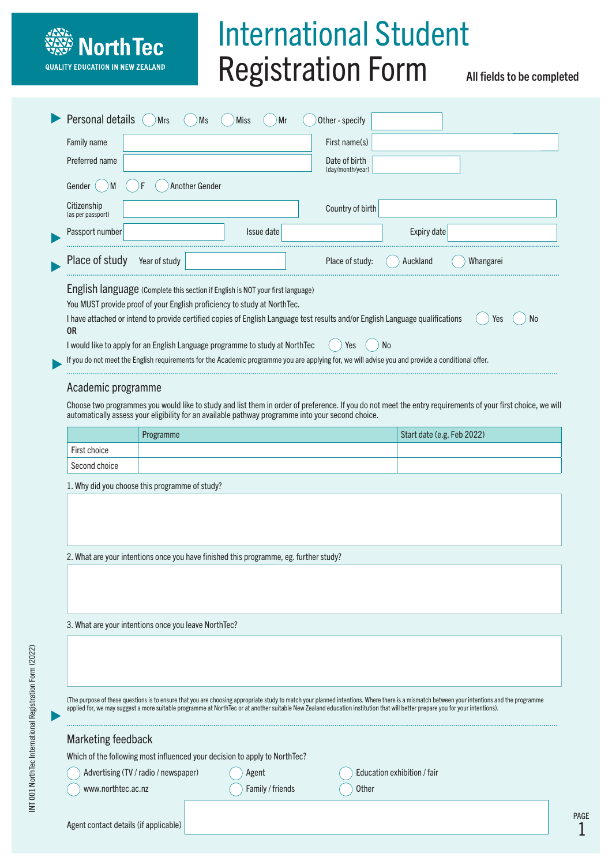# International Student Registration Form

All fields to be completed

|                                                                                                                                                                                                                                                                                                                                                                                                                                                                                                                                                                                                                                                                                                                                                                               | Personal details                 | <b>Mrs</b><br>Ms                                                                      | Miss<br>Mr | Other - specify                   |                            |                  |
|-------------------------------------------------------------------------------------------------------------------------------------------------------------------------------------------------------------------------------------------------------------------------------------------------------------------------------------------------------------------------------------------------------------------------------------------------------------------------------------------------------------------------------------------------------------------------------------------------------------------------------------------------------------------------------------------------------------------------------------------------------------------------------|----------------------------------|---------------------------------------------------------------------------------------|------------|-----------------------------------|----------------------------|------------------|
|                                                                                                                                                                                                                                                                                                                                                                                                                                                                                                                                                                                                                                                                                                                                                                               | Family name                      |                                                                                       |            | First name(s)                     |                            |                  |
|                                                                                                                                                                                                                                                                                                                                                                                                                                                                                                                                                                                                                                                                                                                                                                               | Preferred name                   |                                                                                       |            | Date of birth<br>(day/month/year) |                            |                  |
|                                                                                                                                                                                                                                                                                                                                                                                                                                                                                                                                                                                                                                                                                                                                                                               | Gender<br>M                      | Another Gender                                                                        |            |                                   |                            |                  |
|                                                                                                                                                                                                                                                                                                                                                                                                                                                                                                                                                                                                                                                                                                                                                                               | Citizenship<br>(as per passport) |                                                                                       |            | Country of birth                  |                            |                  |
|                                                                                                                                                                                                                                                                                                                                                                                                                                                                                                                                                                                                                                                                                                                                                                               | Passport number                  |                                                                                       | Issue date |                                   | Expiry date                |                  |
|                                                                                                                                                                                                                                                                                                                                                                                                                                                                                                                                                                                                                                                                                                                                                                               | Place of study                   | Year of study                                                                         |            | Place of study:                   | Auckland                   | Whangarei        |
| You MUST provide proof of your English proficiency to study at NorthTec.<br>I have attached or intend to provide certified copies of English Language test results and/or English Language qualifications<br><b>OR</b><br>I would like to apply for an English Language programme to study at NorthTec<br>N <sub>0</sub><br>Yes<br>If you do not meet the English requirements for the Academic programme you are applying for, we will advise you and provide a conditional offer.<br>Academic programme<br>Choose two programmes you would like to study and list them in order of preference. If you do not meet the entry requirements of your first choice, we will<br>automatically assess your eligibility for an available pathway programme into your second choice. |                                  |                                                                                       |            |                                   |                            | <b>No</b><br>Yes |
|                                                                                                                                                                                                                                                                                                                                                                                                                                                                                                                                                                                                                                                                                                                                                                               |                                  | Programme                                                                             |            |                                   | Start date (e.g. Feb 2022) |                  |
|                                                                                                                                                                                                                                                                                                                                                                                                                                                                                                                                                                                                                                                                                                                                                                               | First choice                     |                                                                                       |            |                                   |                            |                  |
|                                                                                                                                                                                                                                                                                                                                                                                                                                                                                                                                                                                                                                                                                                                                                                               | Second choice                    |                                                                                       |            |                                   |                            |                  |
|                                                                                                                                                                                                                                                                                                                                                                                                                                                                                                                                                                                                                                                                                                                                                                               |                                  | 1. Why did you choose this programme of study?                                        |            |                                   |                            |                  |
|                                                                                                                                                                                                                                                                                                                                                                                                                                                                                                                                                                                                                                                                                                                                                                               |                                  | 2. What are your intentions once you have finished this programme, eg. further study? |            |                                   |                            |                  |
|                                                                                                                                                                                                                                                                                                                                                                                                                                                                                                                                                                                                                                                                                                                                                                               |                                  |                                                                                       |            |                                   |                            |                  |

3. What are your intentions once you leave NorthTec?

**North Tec** 

**QUALITY EDUCATION IN NEW ZEALAND** 

(The purpose of these questions is to ensure that you are choosing appropriate study to match your planned intentions. Where there is a mismatch between your intentions and the programme applied for, we may suggest a more suitable programme at NorthTec or at another suitable New Zealand education institution that will better prepare you for your intentions).

| Marketing feedback                                                         |                  |                             |  |  |  |
|----------------------------------------------------------------------------|------------------|-----------------------------|--|--|--|
| Which of the following most influenced your decision to apply to NorthTec? |                  |                             |  |  |  |
| Advertising (TV / radio / newspaper)                                       | Agent            | Education exhibition / fair |  |  |  |
| www.northtec.ac.nz                                                         | Family / friends | <b>Other</b>                |  |  |  |
|                                                                            |                  |                             |  |  |  |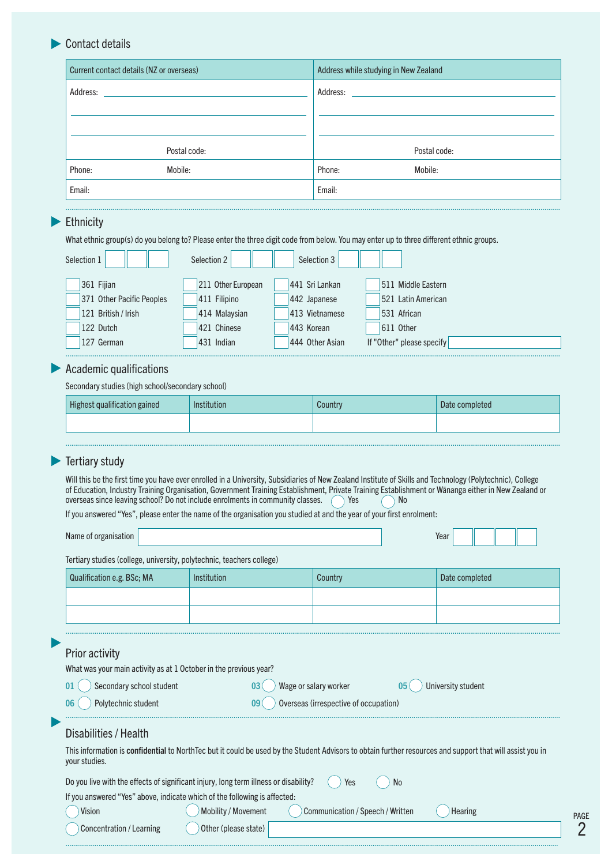# Contact details

|           | Current contact details (NZ or overseas) | Address while studying in New Zealand                                                                                                   |  |
|-----------|------------------------------------------|-----------------------------------------------------------------------------------------------------------------------------------------|--|
| Address:  |                                          | Address:                                                                                                                                |  |
|           |                                          |                                                                                                                                         |  |
|           |                                          |                                                                                                                                         |  |
|           | Postal code:                             | Postal code:                                                                                                                            |  |
| Phone:    | Mobile:                                  | Phone:<br>Mobile:                                                                                                                       |  |
| Email:    |                                          | Email:                                                                                                                                  |  |
|           |                                          |                                                                                                                                         |  |
| Ethnicity |                                          |                                                                                                                                         |  |
|           |                                          | What ethnic group(s) do you belong to? Please enter the three digit code from below. You may enter up to three different ethnic groups. |  |

| Selection 1               | Selection 2        | Selection 3     |                           |
|---------------------------|--------------------|-----------------|---------------------------|
| 361 Fijian                | 211 Other European | 441 Sri Lankan  | 511 Middle Eastern        |
| 371 Other Pacific Peoples | 411 Filipino       | 442 Japanese    | 521 Latin American        |
| 121 British / Irish       | 414 Malaysian      | 413 Vietnamese  | 531 African               |
| 122 Dutch                 | 421 Chinese        | 443 Korean      | 611 Other                 |
| 127 German                | 431 Indian         | 444 Other Asian | If "Other" please specify |
|                           |                    |                 |                           |

## **Academic qualifications**

Secondary studies (high school/secondary school)

| Highest qualification gained | <b>Institution</b> | Country | Date completed |
|------------------------------|--------------------|---------|----------------|
|                              |                    |         |                |
|                              |                    |         |                |

## **Tertiary study**

Will this be the first time you have ever enrolled in a University, Subsidiaries of New Zealand Institute of Skills and Technology (Polytechnic), College of Education, Industry Training Organisation, Government Training Establishment, Private Training Establishment or Wānanga either in New Zealand or overseas since leaving school? Do not include enrolments in community classes.  $\bigcirc$  Yes  $\bigcirc$  No

If you answered "Yes", please enter the name of the organisation you studied at and the year of your first enrolment:

| Name of organisation                                                                                                                                                       |                                                                           |                                  | Year           |  |  |  |
|----------------------------------------------------------------------------------------------------------------------------------------------------------------------------|---------------------------------------------------------------------------|----------------------------------|----------------|--|--|--|
| Tertiary studies (college, university, polytechnic, teachers college)                                                                                                      |                                                                           |                                  |                |  |  |  |
| Qualification e.g. BSc; MA                                                                                                                                                 | Institution                                                               | Country                          | Date completed |  |  |  |
|                                                                                                                                                                            |                                                                           |                                  |                |  |  |  |
|                                                                                                                                                                            |                                                                           |                                  |                |  |  |  |
|                                                                                                                                                                            |                                                                           |                                  |                |  |  |  |
| Prior activity                                                                                                                                                             |                                                                           |                                  |                |  |  |  |
| What was your main activity as at 1 October in the previous year?                                                                                                          |                                                                           |                                  |                |  |  |  |
| Secondary school student<br>Wage or salary worker<br>University student<br>01<br>03<br>05 <sub>1</sub>                                                                     |                                                                           |                                  |                |  |  |  |
| Overseas (irrespective of occupation)<br>Polytechnic student<br>09<br>06                                                                                                   |                                                                           |                                  |                |  |  |  |
| Disabilities / Health                                                                                                                                                      |                                                                           |                                  |                |  |  |  |
| This information is confidential to NorthTec but it could be used by the Student Advisors to obtain further resources and support that will assist you in<br>your studies. |                                                                           |                                  |                |  |  |  |
| Do you live with the effects of significant injury, long term illness or disability?<br>Yes<br><b>No</b>                                                                   |                                                                           |                                  |                |  |  |  |
|                                                                                                                                                                            | If you answered "Yes" above, indicate which of the following is affected: |                                  |                |  |  |  |
| Vision                                                                                                                                                                     | Mobility / Movement                                                       | Communication / Speech / Written | <b>Hearing</b> |  |  |  |
| Concentration / Learning                                                                                                                                                   | Other (please state)                                                      |                                  |                |  |  |  |

............................................................................................................................................................................................................................................................

2 PAGE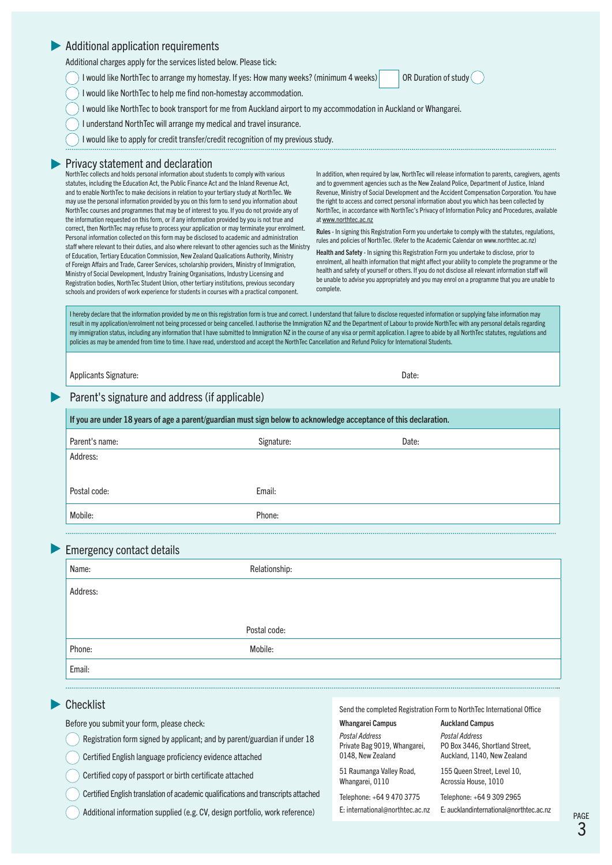#### Additional application requirements

Additional charges apply for the services listed below. Please tick:

I would like NorthTec to arrange my homestay. If yes: How many weeks? (minimum 4 weeks) OR Duration of study

I would like NorthTec to help me find non-homestay accommodation.

I would like NorthTec to book transport for me from Auckland airport to my accommodation in Auckland or Whangarei.

I understand NorthTec will arrange my medical and travel insurance.

I would like to apply for credit transfer/credit recognition of my previous study.

#### **Privacy statement and declaration**

NorthTec collects and holds personal information about students to comply with various statutes, including the Education Act, the Public Finance Act and the Inland Revenue Act, and to enable NorthTec to make decisions in relation to your tertiary study at NorthTec. We may use the personal information provided by you on this form to send you information about NorthTec courses and programmes that may be of interest to you. If you do not provide any of the information requested on this form, or if any information provided by you is not true and correct, then NorthTec may refuse to process your application or may terminate your enrolment. Personal information collected on this form may be disclosed to academic and administration staff where relevant to their duties, and also where relevant to other agencies such as the Ministry of Education, Tertiary Education Commission, New Zealand Qualications Authority, Ministry of Foreign Affairs and Trade, Career Services, scholarship providers, Ministry of Immigration, Ministry of Social Development, Industry Training Organisations, Industry Licensing and Registration bodies, NorthTec Student Union, other tertiary institutions, previous secondary schools and providers of work experience for students in courses with a practical component.

In addition, when required by law, NorthTec will release information to parents, caregivers, agents and to government agencies such as the New Zealand Police, Department of Justice, Inland Revenue, Ministry of Social Development and the Accident Compensation Corporation. You have the right to access and correct personal information about you which has been collected by NorthTec, in accordance with NorthTec's Privacy of Information Policy and Procedures, available at www.northtec.ac.nz

Rules - In signing this Registration Form you undertake to comply with the statutes, regulations, rules and policies of NorthTec. (Refer to the Academic Calendar on www.northtec.ac.nz)

Health and Safety - In signing this Registration Form you undertake to disclose, prior to enrolment, all health information that might affect your ability to complete the programme or the health and safety of yourself or others. If you do not disclose all relevant information staff will be unable to advise you appropriately and you may enrol on a programme that you are unable to complete.

I hereby declare that the information provided by me on this registration form is true and correct. I understand that failure to disclose requested information or supplying false information may result in my application/enrolment not being processed or being cancelled. I authorise the Immigration NZ and the Department of Labour to provide NorthTec with any personal details regarding my immigration status, including any information that I have submitted to Immigration NZ in the course of any visa or permit application. I agree to abide by all NorthTec statutes, regulations and policies as may be amended from time to time. I have read, understood and accept the NorthTec Cancellation and Refund Policy for International Students.

Applicants Signature: Date: Date: Date: Date: Date: Date: Date: Date: Date: Date: Date: Date: Date: Date: Date: Date: Date: Date: Date: Date: Date: Date: Date: Date: Date: Date: Date: Date: Date: Date: Date: Date: Date: Da

## Parent's signature and address (if applicable)

| If you are under 18 years of age a parent/guardian must sign below to acknowledge acceptance of this declaration. |            |       |  |  |
|-------------------------------------------------------------------------------------------------------------------|------------|-------|--|--|
| Parent's name:                                                                                                    | Signature: | Date: |  |  |
| Address:                                                                                                          |            |       |  |  |
|                                                                                                                   |            |       |  |  |
| Postal code:                                                                                                      | Email:     |       |  |  |
| Mobile:                                                                                                           | Phone:     |       |  |  |
|                                                                                                                   |            |       |  |  |

#### Emergency contact details

| Name:    | Relationship: |
|----------|---------------|
| Address: |               |
|          |               |
|          | Postal code:  |
| Phone:   | Mobile:       |
| Email:   |               |

.............................................................................................................................................................................................................................................................

#### **Checklist**

Before you submit your form, please check:

- Registration form signed by applicant; and by parent/guardian if under 18
- Certified English language proficiency evidence attached
- Certified copy of passport or birth certificate attached
- Certified English translation of academic qualifications and transcripts attached

Additional information supplied (e.g. CV, design portfolio, work reference)

Send the completed Registration Form to NorthTec International Office

Auckland Campus *Postal Address*

PO Box 3446, Shortland Street, Auckland, 1140, New Zealand 155 Queen Street, Level 10, Acrossia House, 1010

### Whangarei Campus

*Postal Address*  Private Bag 9019, Whangarei, 0148, New Zealand

51 Raumanga Valley Road, Whangarei, 0110

Telephone: +64 9 470 3775 E: international@northtec.ac.nz

Telephone: +64 9 309 2965 E: aucklandinternational@northtec.ac.nz